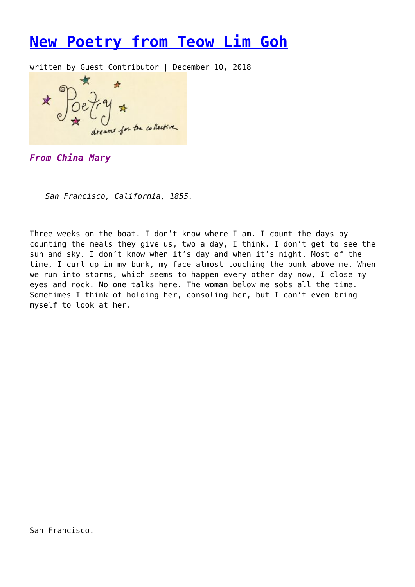## **[New Poetry from Teow Lim Goh](https://entropymag.org/new-poetry-from-teow-lim-goh/)**

written by Guest Contributor | December 10, 2018

pams for the collective

*From China Mary*

*San Francisco, California, 1855.*

Three weeks on the boat. I don't know where I am. I count the days by counting the meals they give us, two a day, I think. I don't get to see the sun and sky. I don't know when it's day and when it's night. Most of the time, I curl up in my bunk, my face almost touching the bunk above me. When we run into storms, which seems to happen every other day now, I close my eyes and rock. No one talks here. The woman below me sobs all the time. Sometimes I think of holding her, consoling her, but I can't even bring myself to look at her.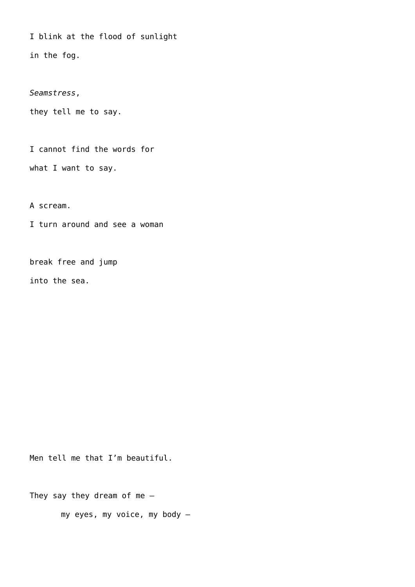I blink at the flood of sunlight in the fog.

*Seamstress*,

they tell me to say.

I cannot find the words for

what I want to say.

A scream.

I turn around and see a woman

break free and jump into the sea.

Men tell me that I'm beautiful.

They say they dream of me  $-$ 

my eyes, my voice, my body –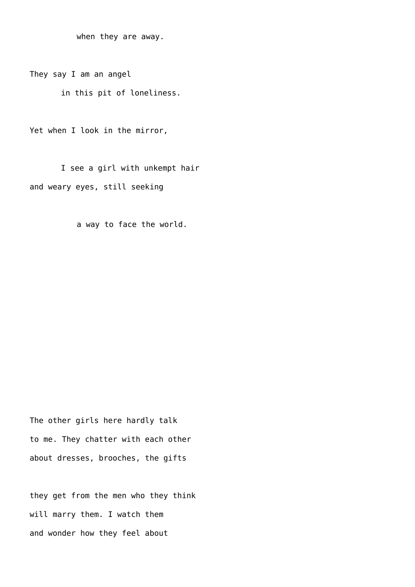when they are away.

They say I am an angel

in this pit of loneliness.

Yet when I look in the mirror,

I see a girl with unkempt hair and weary eyes, still seeking

a way to face the world.

The other girls here hardly talk to me. They chatter with each other about dresses, brooches, the gifts

they get from the men who they think will marry them. I watch them and wonder how they feel about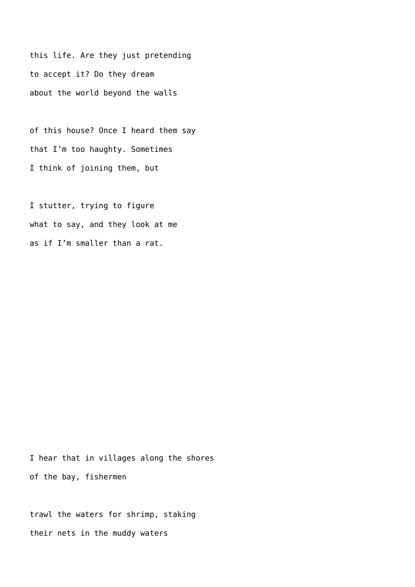this life. Are they just pretending to accept it? Do they dream about the world beyond the walls

of this house? Once I heard them say that I'm too haughty. Sometimes I think of joining them, but

I stutter, trying to figure what to say, and they look at me as if I'm smaller than a rat.

I hear that in villages along the shores of the bay, fishermen

trawl the waters for shrimp, staking their nets in the muddy waters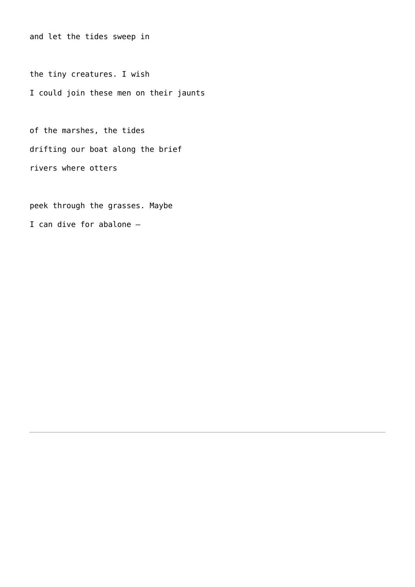and let the tides sweep in

the tiny creatures. I wish I could join these men on their jaunts

of the marshes, the tides drifting our boat along the brief rivers where otters

peek through the grasses. Maybe I can dive for abalone –